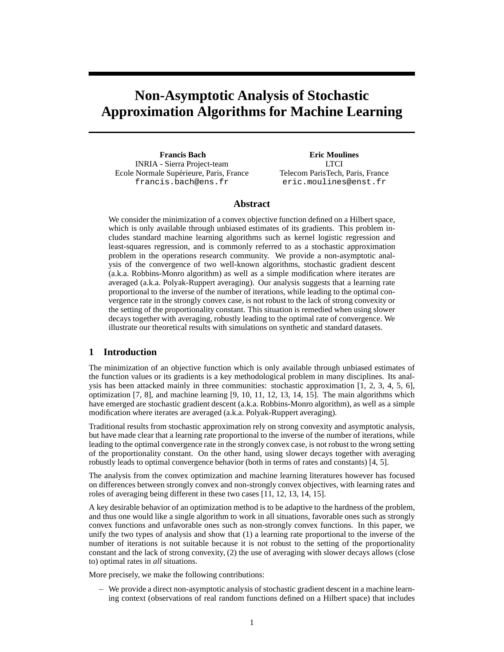# **Non-Asymptotic Analysis of Stochastic Approximation Algorithms for Machine Learning**

**Francis Bach** INRIA - Sierra Project-team Ecole Normale Supérieure, Paris, France francis.bach@ens.fr

**Eric Moulines LTCI** Telecom ParisTech, Paris, France eric.moulines@enst.fr

# **Abstract**

We consider the minimization of a convex objective function defined on a Hilbert space, which is only available through unbiased estimates of its gradients. This problem includes standard machine learning algorithms such as kernel logistic regression and least-squares regression, and is commonly referred to as a stochastic approximation problem in the operations research community. We provide a non-asymptotic analysis of the convergence of two well-known algorithms, stochastic gradient descent (a.k.a. Robbins-Monro algorithm) as well as a simple modification where iterates are averaged (a.k.a. Polyak-Ruppert averaging). Our analysis suggests that a learning rate proportional to the inverse of the number of iterations, while leading to the optimal convergence rate in the strongly convex case, is not robust to the lack of strong convexity or the setting of the proportionality constant. This situation is remedied when using slower decays together with averaging, robustly leading to the optimal rate of convergence. We illustrate our theoretical results with simulations on synthetic and standard datasets.

# **1 Introduction**

The minimization of an objective function which is only available through unbiased estimates of the function values or its gradients is a key methodological problem in many disciplines. Its analysis has been attacked mainly in three communities: stochastic approximation [1, 2, 3, 4, 5, 6], optimization [7, 8], and machine learning [9, 10, 11, 12, 13, 14, 15]. The main algorithms which have emerged are stochastic gradient descent (a.k.a. Robbins-Monro algorithm), as well as a simple modification where iterates are averaged (a.k.a. Polyak-Ruppert averaging).

Traditional results from stochastic approximation rely on strong convexity and asymptotic analysis, but have made clear that a learning rate proportional to the inverse of the number of iterations, while leading to the optimal convergence rate in the strongly convex case, is not robust to the wrong setting of the proportionality constant. On the other hand, using slower decays together with averaging robustly leads to optimal convergence behavior (both in terms of rates and constants) [4, 5].

The analysis from the convex optimization and machine learning literatures however has focused on differences between strongly convex and non-strongly convex objectives, with learning rates and roles of averaging being different in these two cases [11, 12, 13, 14, 15].

A key desirable behavior of an optimization method is to be adaptive to the hardness of the problem, and thus one would like a single algorithm to work in all situations, favorable ones such as strongly convex functions and unfavorable ones such as non-strongly convex functions. In this paper, we unify the two types of analysis and show that (1) a learning rate proportional to the inverse of the number of iterations is not suitable because it is not robust to the setting of the proportionality constant and the lack of strong convexity, (2) the use of averaging with slower decays allows (close to) optimal rates in *all* situations.

More precisely, we make the following contributions:

− We provide a direct non-asymptotic analysis of stochastic gradient descent in a machine learning context (observations of real random functions defined on a Hilbert space) that includes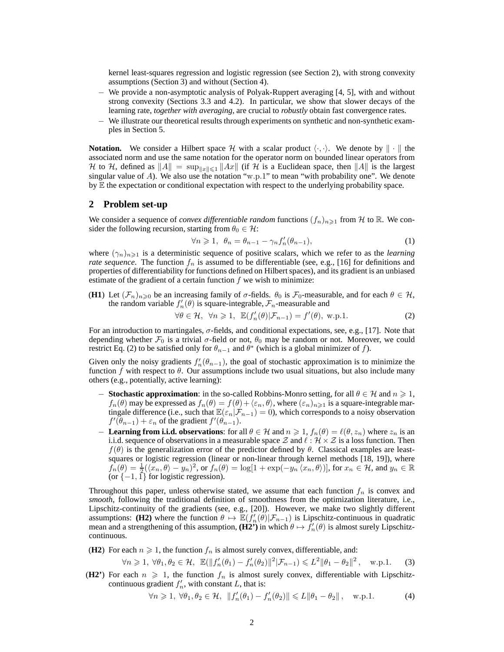kernel least-squares regression and logistic regression (see Section 2), with strong convexity assumptions (Section 3) and without (Section 4).

- − We provide a non-asymptotic analysis of Polyak-Ruppert averaging [4, 5], with and without strong convexity (Sections 3.3 and 4.2). In particular, we show that slower decays of the learning rate, *together with averaging*, are crucial to *robustly* obtain fast convergence rates.
- − We illustrate our theoretical results through experiments on synthetic and non-synthetic examples in Section 5.

**Notation.** We consider a Hilbert space H with a scalar product  $\langle \cdot, \cdot \rangle$ . We denote by  $\|\cdot\|$  the associated norm and use the same notation for the operator norm on bounded linear operators from H to H, defined as  $||A|| = \sup_{||x|| \le 1} ||Ax||$  (if H is a Euclidean space, then  $||A||$  is the largest singular value of A). We also use the notation "w.p.1" to mean "with probability one". We denote by  $E$  the expectation or conditional expectation with respect to the underlying probability space.

#### **2 Problem set-up**

We consider a sequence of *convex differentiable random* functions  $(f_n)_{n\geq 1}$  from H to R. We consider the following recursion, starting from  $\theta_0 \in \mathcal{H}$ :

$$
\forall n \geqslant 1, \ \theta_n = \theta_{n-1} - \gamma_n f'_n(\theta_{n-1}), \tag{1}
$$

where  $(\gamma_n)_{n\geq 1}$  is a deterministic sequence of positive scalars, which we refer to as the *learning rate sequence*. The function  $f_n$  is assumed to be differentiable (see, e.g., [16] for definitions and properties of differentiability for functions defined on Hilbert spaces), and its gradient is an unbiased estimate of the gradient of a certain function  $f$  we wish to minimize:

(**H1**) Let  $(\mathcal{F}_n)_{n\geqslant0}$  be an increasing family of  $\sigma$ -fields.  $\theta_0$  is  $\mathcal{F}_0$ -measurable, and for each  $\theta \in \mathcal{H}$ , the random variable  $f'_n(\theta)$  is square-integrable,  $\mathcal{F}_n$ -measurable and

 $\forall \theta \in \mathcal{H}, \ \forall n \geq 1, \ \mathbb{E}(f'_n(\theta)|\mathcal{F}_{n-1}) = f'(\theta), \text{ w.p.1}.$  (2)

For an introduction to martingales, σ-fields, and conditional expectations, see, e.g., [17]. Note that depending whether  $\mathcal{F}_0$  is a trivial  $\sigma$ -field or not,  $\theta_0$  may be random or not. Moreover, we could restrict Eq. (2) to be satisfied only for  $\theta_{n-1}$  and  $\theta^*$  (which is a global minimizer of f).

Given only the noisy gradients  $f'_n(\theta_{n-1})$ , the goal of stochastic approximation is to minimize the function f with respect to  $\theta$ . Our assumptions include two usual situations, but also include many others (e.g., potentially, active learning):

- − **Stochastic approximation**: in the so-called Robbins-Monro setting, for all  $\theta \in \mathcal{H}$  and  $n \ge 1$ ,  $f_n(\theta)$  may be expressed as  $f_n(\theta) = f(\theta) + \langle \varepsilon_n, \theta \rangle$ , where  $(\varepsilon_n)_{n \geq 1}$  is a square-integrable martingale difference (i.e., such that  $\mathbb{E}(\varepsilon_n|\mathcal{F}_{n-1}) = 0$ ), which corresponds to a noisy observation  $f'(\theta_{n-1}) + \varepsilon_n$  of the gradient  $f'(\theta_{n-1})$ .
- − **Learning from i.i.d. observations**: for all  $\theta \in \mathcal{H}$  and  $n \geq 1$ ,  $f_n(\theta) = \ell(\theta, z_n)$  where  $z_n$  is an i.i.d. sequence of observations in a measurable space Z and  $\ell : \mathcal{H} \times \mathcal{Z}$  is a loss function. Then  $f(\theta)$  is the generalization error of the predictor defined by  $\theta$ . Classical examples are leastsquares or logistic regression (linear or non-linear through kernel methods [18, 19]), where  $f_n(\theta) = \frac{1}{2} (\langle x_n, \theta \rangle - y_n)^2$ , or  $f_n(\theta) = \log[1 + \exp(-y_n \langle x_n, \theta \rangle)]$ , for  $x_n \in \mathcal{H}$ , and  $y_n \in \mathbb{R}$ (or  $\{-1, 1\}$  for logistic regression).

Throughout this paper, unless otherwise stated, we assume that each function  $f_n$  is convex and *smooth*, following the traditional definition of smoothness from the optimization literature, i.e., Lipschitz-continuity of the gradients (see, e.g., [20]). However, we make two slightly different assumptions: **(H2)** where the function  $\theta \mapsto \mathbb{E}(f'_n(\theta)|\mathcal{F}_{n-1})$  is Lipschitz-continuous in quadratic mean and a strengthening of this assumption,  $(H2')$  in which  $\theta \mapsto f'_n(\theta)$  is almost surely Lipschitzcontinuous.

(**H2**) For each  $n \ge 1$ , the function  $f_n$  is almost surely convex, differentiable, and:

$$
\forall n \geq 1, \ \forall \theta_1, \theta_2 \in \mathcal{H}, \ \ \mathbb{E}(\|f'_n(\theta_1) - f'_n(\theta_2)\|^2 | \mathcal{F}_{n-1}) \leq L^2 \|\theta_1 - \theta_2\|^2, \quad \text{w.p.1.} \tag{3}
$$

**(H2'**) For each  $n \geq 1$ , the function  $f_n$  is almost surely convex, differentiable with Lipschitzcontinuous gradient  $f'_n$ , with constant L, that is:

$$
\forall n \geqslant 1, \ \forall \theta_1, \theta_2 \in \mathcal{H}, \ \ \|f'_n(\theta_1) - f'_n(\theta_2)\| \leqslant L \|\theta_1 - \theta_2\|, \quad \text{w.p.1.}
$$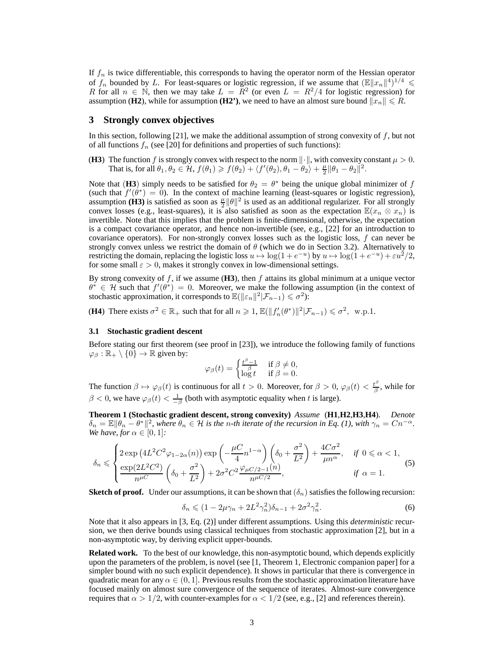If  $f_n$  is twice differentiable, this corresponds to having the operator norm of the Hessian operator of  $f_n$  bounded by L. For least-squares or logistic regression, if we assume that  $(\mathbb{E} \|x_n\|^4)^{1/4} \le$ R for all  $n \in \mathbb{N}$ , then we may take  $L = \overline{R}^2$  (or even  $L = R^2/4$  for logistic regression) for assumption **(H2)**, while for assumption **(H2')**, we need to have an almost sure bound  $||x_n|| \le R$ .

#### **3 Strongly convex objectives**

In this section, following [21], we make the additional assumption of strong convexity of  $f$ , but not of all functions  $f_n$  (see [20] for definitions and properties of such functions):

**(H3)** The function f is strongly convex with respect to the norm  $\|\cdot\|$ , with convexity constant  $\mu > 0$ . That is, for all  $\theta_1, \theta_2 \in \mathcal{H}$ ,  $f(\theta_1) \geq f(\theta_2) + \langle f'(\theta_2), \theta_1 - \theta_2 \rangle + \frac{\mu}{2} ||\theta_1 - \theta_2||^2$ .

Note that (H3) simply needs to be satisfied for  $\theta_2 = \theta^*$  being the unique global minimizer of f (such that  $f'(\theta^*) = 0$ ). In the context of machine learning (least-squares or logistic regression), assumption **(H3)** is satisfied as soon as  $\frac{\mu}{2} ||\theta||^2$  is used as an additional regularizer. For all strongly convex losses (e.g., least-squares), it is also satisfied as soon as the expectation  $\mathbb{E}(x_n \otimes x_n)$  is invertible. Note that this implies that the problem is finite-dimensional, otherwise, the expectation is a compact covariance operator, and hence non-invertible (see, e.g., [22] for an introduction to covariance operators). For non-strongly convex losses such as the logistic loss, f can never be strongly convex unless we restrict the domain of  $\theta$  (which we do in Section 3.2). Alternatively to restricting the domain, replacing the logistic loss  $u \mapsto \log(1 + e^{-u})$  by  $u \mapsto \log(1 + e^{-u}) + \varepsilon u^2/2$ , for some small  $\varepsilon > 0$ , makes it strongly convex in low-dimensional settings.

By strong convexity of f, if we assume  $(H3)$ , then f attains its global minimum at a unique vector  $\theta^* \in \mathcal{H}$  such that  $f'(\theta^*) = 0$ . Moreover, we make the following assumption (in the context of stochastic approximation, it corresponds to  $\mathbb{E}(\|\varepsilon_n\|^2|\mathcal{F}_{n-1}) \leq \sigma^2$ :

**(H4)** There exists  $\sigma^2 \in \mathbb{R}_+$  such that for all  $n \geq 1$ ,  $\mathbb{E}(\|f'_n(\theta^*)\|^2 | \mathcal{F}_{n-1}) \leq \sigma^2$ , w.p.1.

#### **3.1 Stochastic gradient descent**

Before stating our first theorem (see proof in [23]), we introduce the following family of functions  $\varphi_{\beta} : \mathbb{R}_{+} \setminus \{0\} \to \mathbb{R}$  given by:

$$
\varphi_{\beta}(t) = \begin{cases} \frac{t^{\beta} - 1}{\beta} & \text{if } \beta \neq 0, \\ \log t & \text{if } \beta = 0. \end{cases}
$$

The function  $\beta \mapsto \varphi_{\beta}(t)$  is continuous for all  $t > 0$ . Moreover, for  $\beta > 0$ ,  $\varphi_{\beta}(t) < \frac{t^{\beta}}{\beta}$  $\frac{\partial P}{\partial \beta}$ , while for  $\beta < 0$ , we have  $\varphi_{\beta}(t) < \frac{1}{-\beta}$  (both with asymptotic equality when t is large).

**Theorem 1 (Stochastic gradient descent, strong convexity)** *Assume* (**H1**,**H2**,**H3**,**H4**)*. Denote*  $\delta_n = \mathbb{E} \|\theta_n - \theta^*\|^2$ , where  $\theta_n \in \mathcal{H}$  is the *n*-th iterate of the recursion in Eq. (1), with  $\gamma_n = Cn^{-\alpha}$ . *We have, for*  $\alpha \in [0, 1]$ *:* 

$$
\delta_n \leqslant \begin{cases} 2\exp\left(4L^2C^2\varphi_{1-2\alpha}(n)\right)\exp\left(-\frac{\mu C}{4}n^{1-\alpha}\right)\left(\delta_0 + \frac{\sigma^2}{L^2}\right) + \frac{4C\sigma^2}{\mu n^{\alpha}}, & \text{if } 0 \leq \alpha < 1, \\ \frac{\exp(2L^2C^2)}{n^{\mu C}}\left(\delta_0 + \frac{\sigma^2}{L^2}\right) + 2\sigma^2 C^2 \frac{\varphi_{\mu C/2-1}(n)}{n^{\mu C/2}}, & \text{if } \alpha = 1. \end{cases} \tag{5}
$$

**Sketch of proof.** Under our assumptions, it can be shown that  $(\delta_n)$  satisfies the following recursion:

$$
\delta_n \leqslant (1 - 2\mu\gamma_n + 2L^2\gamma_n^2)\delta_{n-1} + 2\sigma^2\gamma_n^2. \tag{6}
$$

Note that it also appears in [3, Eq. (2)] under different assumptions. Using this *deterministic* recursion, we then derive bounds using classical techniques from stochastic approximation [2], but in a non-asymptotic way, by deriving explicit upper-bounds.

**Related work.** To the best of our knowledge, this non-asymptotic bound, which depends explicitly upon the parameters of the problem, is novel (see [1, Theorem 1, Electronic companion paper] for a simpler bound with no such explicit dependence). It shows in particular that there is convergence in quadratic mean for any  $\alpha \in (0, 1]$ . Previous results from the stochastic approximation literature have focused mainly on almost sure convergence of the sequence of iterates. Almost-sure convergence requires that  $\alpha > 1/2$ , with counter-examples for  $\alpha < 1/2$  (see, e.g., [2] and references therein).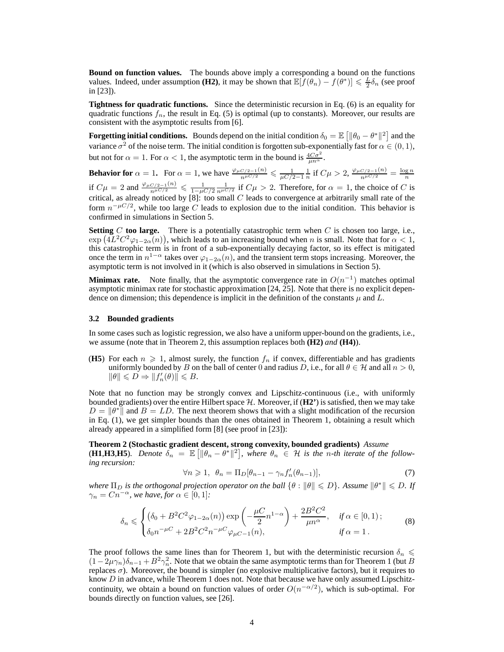**Bound on function values.** The bounds above imply a corresponding a bound on the functions values. Indeed, under assumption **(H2)**, it may be shown that  $\mathbb{E}[\hat{f}(\theta_n) - f(\theta^*)] \le \frac{L}{2}\delta_n$  (see proof in [23]).

**Tightness for quadratic functions.** Since the deterministic recursion in Eq. (6) is an equality for quadratic functions  $f_n$ , the result in Eq. (5) is optimal (up to constants). Moreover, our results are consistent with the asymptotic results from [6].

**Forgetting initial conditions.** Bounds depend on the initial condition  $\delta_0 = \mathbb{E} \left[ \|\theta_0 - \theta^*\|^2 \right]$  and the variance  $\sigma^2$  of the noise term. The initial condition is forgotten sub-exponentially fast for  $\alpha \in (0,1)$ , but not for  $\alpha = 1$ . For  $\alpha < 1$ , the asymptotic term in the bound is  $\frac{4C\sigma^2}{\mu n^{\alpha}}$ .

**Behavior for**  $\alpha = 1$ . For  $\alpha = 1$ , we have  $\frac{\varphi_{\mu C/2-1}(n)}{n^{\mu C/2}} \leq \frac{1}{\mu C/2-1} \frac{1}{n}$  if  $C\mu > 2$ ,  $\frac{\varphi_{\mu C/2-1}(n)}{n^{\mu C/2}} = \frac{\log n}{n}$ if  $C\mu = 2$  and  $\frac{\varphi_{\mu C/2 - 1}(n)}{n^{\mu C/2}} \leq \frac{1}{1 - \mu C/2} \frac{1}{n^{\mu C/2}}$  if  $C\mu > 2$ . Therefore, for  $\alpha = 1$ , the choice of C is critical, as already noticed by  $[8]$ : too small C leads to convergence at arbitrarily small rate of the form  $n^{-\mu C/2}$ , while too large C leads to explosion due to the initial condition. This behavior is confirmed in simulations in Section 5.

**Setting** C **too large.** There is a potentially catastrophic term when C is chosen too large, i.e.,  $\exp(4L^2C^2\varphi_{1-2\alpha}(n))$ , which leads to an increasing bound when n is small. Note that for  $\alpha < 1$ , this catastrophic term is in front of a sub-exponentially decaying factor, so its effect is mitigated once the term in  $n^{1-\alpha}$  takes over  $\varphi_{1-2\alpha}(n)$ , and the transient term stops increasing. Moreover, the asymptotic term is not involved in it (which is also observed in simulations in Section 5).

**Minimax rate.** Note finally, that the asymptotic convergence rate in  $O(n^{-1})$  matches optimal asymptotic minimax rate for stochastic approximation [24, 25]. Note that there is no explicit dependence on dimension; this dependence is implicit in the definition of the constants  $\mu$  and  $L$ .

#### **3.2 Bounded gradients**

In some cases such as logistic regression, we also have a uniform upper-bound on the gradients, i.e., we assume (note that in Theorem 2, this assumption replaces both **(H2)** *and* **(H4)**).

(**H5**) For each  $n \geq 1$ , almost surely, the function  $f_n$  if convex, differentiable and has gradients uniformly bounded by B on the ball of center 0 and radius D, i.e., for all  $\theta \in \mathcal{H}$  and all  $n > 0$ ,  $\|\theta\| \leq D \Rightarrow \|f'_n(\theta)\| \leq B.$ 

Note that no function may be strongly convex and Lipschitz-continuous (i.e., with uniformly bounded gradients) over the entire Hilbert space H. Moreover, if (**H2'**) is satisfied, then we may take  $D = ||\theta^*||$  and  $B = LD$ . The next theorem shows that with a slight modification of the recursion in Eq. (1), we get simpler bounds than the ones obtained in Theorem 1, obtaining a result which already appeared in a simplified form [8] (see proof in [23]):

**Theorem 2 (Stochastic gradient descent, strong convexity, bounded gradients)** *Assume* **(H1,H3,H5)**. Denote  $\delta_n = \mathbb{E} \left[ \|\theta_n - \theta^*\|^2 \right]$ , where  $\theta_n \in \mathcal{H}$  is the n-th iterate of the follow*ing recursion:*

$$
\forall n \geqslant 1, \ \theta_n = \Pi_D[\theta_{n-1} - \gamma_n f'_n(\theta_{n-1})],\tag{7}
$$

*where*  $\Pi_D$  *is the orthogonal projection operator on the ball*  $\{\theta : \|\theta\| \leq D\}$ . Assume  $\|\theta^*\| \leq D$ . If  $\gamma_n = Cn^{-\alpha}$ , we have, for  $\alpha \in [0,1]$ :

$$
\delta_n \leqslant \begin{cases}\n(\delta_0 + B^2 C^2 \varphi_{1-2\alpha}(n)) \exp\left(-\frac{\mu C}{2} n^{1-\alpha}\right) + \frac{2B^2 C^2}{\mu n^{\alpha}}, & \text{if } \alpha \in [0,1); \\
\delta_0 n^{-\mu C} + 2B^2 C^2 n^{-\mu C} \varphi_{\mu C-1}(n), & \text{if } \alpha = 1.\n\end{cases}\n\tag{8}
$$

The proof follows the same lines than for Theorem 1, but with the deterministic recursion  $\delta_n \leq$  $(1-2\mu\gamma_n)\delta_{n-1} + B^2\gamma_n^2$ . Note that we obtain the same asymptotic terms than for Theorem 1 (but B replaces  $σ$ ). Moreover, the bound is simpler (no explosive multiplicative factors), but it requires to know  $D$  in advance, while Theorem 1 does not. Note that because we have only assumed Lipschitzcontinuity, we obtain a bound on function values of order  $O(n^{-\alpha/2})$ , which is sub-optimal. For bounds directly on function values, see [26].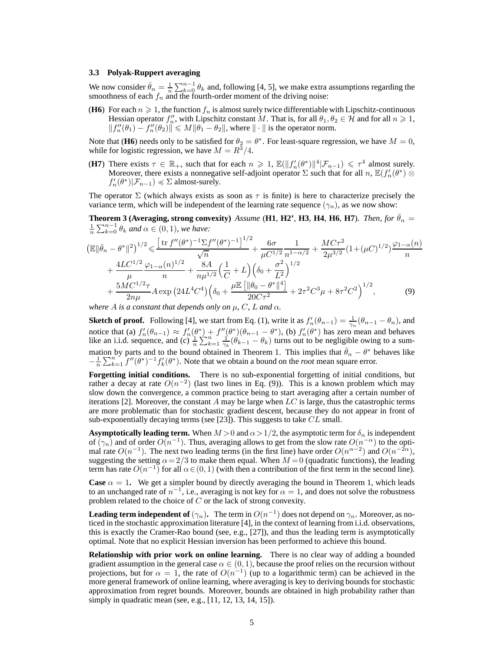#### **3.3 Polyak-Ruppert averaging**

We now consider  $\bar{\theta}_n = \frac{1}{n} \sum_{k=0}^{n-1} \theta_k$  and, following [4, 5], we make extra assumptions regarding the smoothness of each  $f_n$  and the fourth-order moment of the driving noise:

**(H6)** For each  $n \geq 1$ , the function  $f_n$  is almost surely twice differentiable with Lipschitz-continuous Hessian operator  $f_n''$ , with Lipschitz constant M. That is, for all  $\theta_1, \theta_2 \in \mathcal{H}$  and for all  $n \ge 1$ ,  $||f''_n(\theta_1) - f''_n(\theta_2)|| \leq M ||\theta_1 - \theta_2||$ , where  $|| \cdot ||$  is the operator norm.

Note that (H6) needs only to be satisfied for  $\theta_2 = \theta^*$ . For least-square regression, we have  $M = 0$ , while for logistic regression, we have  $M = R^3/4$ .

**(H7)** There exists  $\tau \in \mathbb{R}_+$ , such that for each  $n \geq 1$ ,  $\mathbb{E}(\Vert f'_n(\theta^*) \Vert^4 | \mathcal{F}_{n-1}) \leq \tau^4$  almost surely. Moreover, there exists a nonnegative self-adjoint operator  $\sum$  such that for all  $n$ ,  $\mathbb{E}(f'_n(\theta^*))\otimes$  $f'_n(\theta^*)|\mathcal{F}_{n-1}) \preccurlyeq \Sigma$  almost-surely.

The operator  $\Sigma$  (which always exists as soon as  $\tau$  is finite) is here to characterize precisely the variance term, which will be independent of the learning rate sequence  $(\gamma_n)$ , as we now show:

**Theorem 3 (Averaging, strong convexity)** *Assume* (**H1**, **H2**<sup>'</sup>, **H3**, **H4**, **H6**, **H7**)*. Then, for*  $\theta_n =$  $\frac{1}{n} \sum_{k=0}^{n-1} \theta_k$  and  $\alpha \in (0,1)$ *, we have:* 

$$
\begin{split} \left(\mathbb{E}\|\bar{\theta}_{n}-\theta^{*}\|^{2}\right)^{1/2} &\leq \frac{\left[\operatorname{tr}f''(\theta^{*})^{-1}\Sigma f''(\theta^{*})^{-1}\right]^{1/2}}{\sqrt{n}} + \frac{6\sigma}{\mu C^{1/2}}\frac{1}{n^{1-\alpha/2}} + \frac{MC\tau^{2}}{2\mu^{3/2}}(1+(\mu C)^{1/2})\frac{\varphi_{1-\alpha}(n)}{n} \\ &+ \frac{4LC^{1/2}}{\mu}\frac{\varphi_{1-\alpha}(n)^{1/2}}{n} + \frac{8A}{n\mu^{1/2}}\left(\frac{1}{C}+L\right)\left(\delta_{0}+\frac{\sigma^{2}}{L^{2}}\right)^{1/2} \\ &+ \frac{5MC^{1/2}\tau}{2n\mu}A\exp\left(24L^{4}C^{4}\right)\left(\delta_{0}+\frac{\mu\mathbb{E}\left[\|\theta_{0}-\theta^{*}\|^{4}\right]}{20C\tau^{2}} + 2\tau^{2}C^{3}\mu + 8\tau^{2}C^{2}\right)^{1/2}, \end{split} \tag{9}
$$

*where A is a constant that depends only on*  $\mu$ *, C, L and*  $\alpha$ *.* 

**Sketch of proof.** Following [4], we start from Eq. (1), write it as  $f'_n(\theta_{n-1}) = \frac{1}{\gamma_n}(\theta_{n-1} - \theta_n)$ , and notice that (a)  $f'_n(\theta_{n-1}) \approx f'_n(\theta^*) + f''(\theta^*) (\theta_{n-1} - \theta^*)$ , (b)  $f'_n(\theta^*)$  has zero mean and behaves like an i.i.d. sequence, and (c)  $\frac{1}{n} \sum_{k=1}^{n} \frac{1}{\gamma_k} (\hat{\theta}_{k-1} - \theta_k)$  turns out to be negligible owing to a summation by parts and to the bound obtained in Theorem 1. This implies that  $\bar{\theta}_n - \theta^*$  behaves like  $-\frac{1}{n}\sum_{k=1}^n f''(\theta^*)^{-1}f'_k(\theta^*)$ . Note that we obtain a bound on the *root* mean square error.

**Forgetting initial conditions.** There is no sub-exponential forgetting of initial conditions, but rather a decay at rate  $O(n^{-2})$  (last two lines in Eq. (9)). This is a known problem which may slow down the convergence, a common practice being to start averaging after a certain number of iterations [2]. Moreover, the constant A may be large when  $LC$  is large, thus the catastrophic terms are more problematic than for stochastic gradient descent, because they do not appear in front of sub-exponentially decaying terms (see [23]). This suggests to take  $CL$  small.

**Asymptotically leading term.** When  $M > 0$  and  $\alpha > 1/2$ , the asymptotic term for  $\delta_n$  is independent of  $(\gamma_n)$  and of order  $O(n^{-1})$ . Thus, averaging allows to get from the slow rate  $O(n^{-\alpha})$  to the optimal rate  $O(n^{-1})$ . The next two leading terms (in the first line) have order  $O(n^{\alpha-2})$  and  $O(n^{-2\alpha})$ , suggesting the setting  $\alpha = 2/3$  to make them equal. When  $M = 0$  (quadratic functions), the leading term has rate  $O(n^{-1})$  for all  $\alpha \in (0, 1)$  (with then a contribution of the first term in the second line).

**Case**  $\alpha = 1$ . We get a simpler bound by directly averaging the bound in Theorem 1, which leads to an unchanged rate of  $n^{-1}$ , i.e., averaging is not key for  $\alpha = 1$ , and does not solve the robustness problem related to the choice of C or the lack of strong convexity.

**Leading term independent of**  $(\gamma_n)$ . The term in  $O(n^{-1})$  does not depend on  $\gamma_n$ . Moreover, as noticed in the stochastic approximation literature [4], in the context of learning from i.i.d. observations, this is exactly the Cramer-Rao bound (see, e.g., [27]), and thus the leading term is asymptotically optimal. Note that no explicit Hessian inversion has been performed to achieve this bound.

**Relationship with prior work on online learning.** There is no clear way of adding a bounded gradient assumption in the general case  $\alpha \in (0, 1)$ , because the proof relies on the recursion without projections, but for  $\alpha = 1$ , the rate of  $O(n^{-1})$  (up to a logarithmic term) can be achieved in the more general framework of online learning, where averaging is key to deriving bounds for stochastic approximation from regret bounds. Moreover, bounds are obtained in high probability rather than simply in quadratic mean (see, e.g., [11, 12, 13, 14, 15]).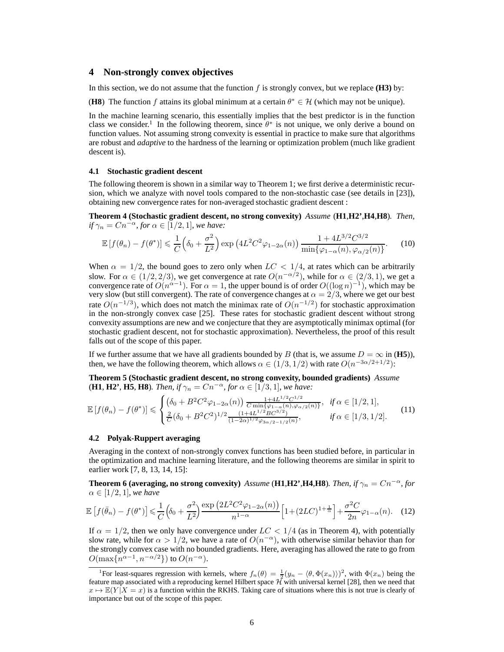## **4 Non-strongly convex objectives**

In this section, we do not assume that the function  $f$  is strongly convex, but we replace  $(H3)$  by:

**(H8)** The function f attains its global minimum at a certain  $\theta^* \in \mathcal{H}$  (which may not be unique).

In the machine learning scenario, this essentially implies that the best predictor is in the function class we consider.<sup>1</sup> In the following theorem, since  $\theta^*$  is not unique, we only derive a bound on function values. Not assuming strong convexity is essential in practice to make sure that algorithms are robust and *adaptive* to the hardness of the learning or optimization problem (much like gradient descent is).

#### **4.1 Stochastic gradient descent**

The following theorem is shown in a similar way to Theorem 1; we first derive a deterministic recursion, which we analyze with novel tools compared to the non-stochastic case (see details in [23]), obtaining new convergence rates for non-averaged stochastic gradient descent :

**Theorem 4 (Stochastic gradient descent, no strong convexity)** *Assume* (**H1**,**H2'**,**H4**,**H8**)*. Then, if*  $\gamma_n = Cn^{-\alpha}$ *, for*  $\alpha \in [1/2, 1]$ *, we have:* 

$$
\mathbb{E}\left[f(\theta_n) - f(\theta^*)\right] \leq \frac{1}{C} \left(\delta_0 + \frac{\sigma^2}{L^2}\right) \exp\left(4L^2 C^2 \varphi_{1-2\alpha}(n)\right) \frac{1 + 4L^{3/2} C^{3/2}}{\min\{\varphi_{1-\alpha}(n), \varphi_{\alpha/2}(n)\}}.\tag{10}
$$

When  $\alpha = 1/2$ , the bound goes to zero only when  $LC < 1/4$ , at rates which can be arbitrarily slow. For  $\alpha \in (1/2, 2/3)$ , we get convergence at rate  $O(n^{-\alpha/2})$ , while for  $\alpha \in (2/3, 1)$ , we get a convergence rate of  $O(n^{\alpha-1})$ . For  $\alpha = 1$ , the upper bound is of order  $O((\log n)^{-1})$ , which may be very slow (but still convergent). The rate of convergence changes at  $\alpha = 2/3$ , where we get our best rate  $O(n^{-1/3})$ , which does not match the minimax rate of  $O(n^{-1/2})$  for stochastic approximation in the non-strongly convex case [25]. These rates for stochastic gradient descent without strong convexity assumptions are new and we conjecture that they are asymptotically minimax optimal (for stochastic gradient descent, not for stochastic approximation). Nevertheless, the proof of this result falls out of the scope of this paper.

If we further assume that we have all gradients bounded by B (that is, we assume  $D = \infty$  in (**H5**)), then, we have the following theorem, which allows  $\alpha \in (1/3, 1/2)$  with rate  $O(n^{-3\alpha/2+1/2})$ :

**Theorem 5 (Stochastic gradient descent, no strong convexity, bounded gradients)** *Assume* **(H1, H2', H5, H8)***. Then, if*  $\gamma_n = Cn^{-\alpha}$ *, for*  $\alpha \in [1/3, 1]$ *, we have:* 

$$
\mathbb{E}\left[f(\theta_n) - f(\theta^*)\right] \leqslant \begin{cases} \left(\delta_0 + B^2 C^2 \varphi_{1-2\alpha}(n)\right) \frac{1 + 4L^{1/2} C^{1/2}}{C \min\{\varphi_{1-\alpha}(n), \varphi_{\alpha/2}(n)\}}, & \text{if } \alpha \in [1/2, 1],\\ \frac{2}{C} (\delta_0 + B^2 C^2)^{1/2} \frac{(1 + 4L^{1/2} B C^{3/2})}{(1 - 2\alpha)^{1/2} \varphi_{3\alpha/2 - 1/2}(n)}, & \text{if } \alpha \in [1/3, 1/2]. \end{cases} \tag{11}
$$

#### **4.2 Polyak-Ruppert averaging**

Averaging in the context of non-strongly convex functions has been studied before, in particular in the optimization and machine learning literature, and the following theorems are similar in spirit to earlier work [7, 8, 13, 14, 15]:

**Theorem 6 (averaging, no strong convexity)** *Assume* (**H1**,**H2**<sup>*'*</sup>,**H4**,**H8**)*. Then, if*  $\gamma_n = Cn^{-\alpha}$ *, for*  $\alpha \in [1/2, 1]$ *, we have* 

$$
\mathbb{E}\left[f(\bar{\theta}_n) - f(\theta^*)\right] \leq \frac{1}{C} \left(\delta_0 + \frac{\sigma^2}{L^2}\right) \frac{\exp\left(2L^2 C^2 \varphi_{1-2\alpha}(n)\right)}{n^{1-\alpha}} \left[1 + (2LC)^{1+\frac{1}{\alpha}}\right] + \frac{\sigma^2 C}{2n} \varphi_{1-\alpha}(n). \tag{12}
$$

If  $\alpha = 1/2$ , then we only have convergence under  $LC < 1/4$  (as in Theorem 4), with potentially slow rate, while for  $\alpha > 1/2$ , we have a rate of  $O(n^{-\alpha})$ , with otherwise similar behavior than for the strongly convex case with no bounded gradients. Here, averaging has allowed the rate to go from  $O(\max\{n^{\alpha-1}, n^{-\alpha/2}\})$  to  $O(n^{-\alpha})$ .

<sup>&</sup>lt;sup>1</sup>For least-squares regression with kernels, where  $f_n(\theta) = \frac{1}{2}(y_n - \langle \theta, \Phi(x_n) \rangle)^2$ , with  $\Phi(x_n)$  being the feature map associated with a reproducing kernel Hilbert space  $\mathcal{H}$  with universal kernel [28], then we need that  $x \mapsto \mathbb{E}(Y | X = x)$  is a function within the RKHS. Taking care of situations where this is not true is clearly of importance but out of the scope of this paper.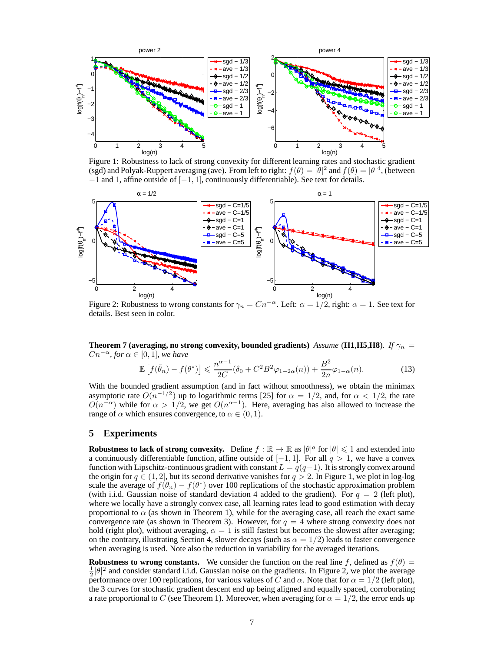

Figure 1: Robustness to lack of strong convexity for different learning rates and stochastic gradient (sgd) and Polyak-Ruppert averaging (ave). From left to right:  $f(\theta) = |\theta|^2$  and  $f(\theta) = |\theta|^4$ , (between  $-1$  and 1, affine outside of  $[-1, 1]$ , continuously differentiable). See text for details.



Figure 2: Robustness to wrong constants for  $\gamma_n = Cn^{-\alpha}$ . Left:  $\alpha = 1/2$ , right:  $\alpha = 1$ . See text for details. Best seen in color.

**Theorem 7 (averaging, no strong convexity, bounded gradients)** *Assume* (**H1**,**H5**,**H8**). If  $\gamma_n$  =  $Cn^{-\alpha}$ *, for*  $\alpha \in [0,1]$ *, we have* 

$$
\mathbb{E}\left[f(\bar{\theta}_n) - f(\theta^*)\right] \leq \frac{n^{\alpha - 1}}{2C}(\delta_0 + C^2 B^2 \varphi_{1 - 2\alpha}(n)) + \frac{B^2}{2n} \varphi_{1 - \alpha}(n). \tag{13}
$$

With the bounded gradient assumption (and in fact without smoothness), we obtain the minimax asymptotic rate  $O(n^{-1/2})$  up to logarithmic terms [25] for  $\alpha = 1/2$ , and, for  $\alpha < 1/2$ , the rate  $O(n^{-\alpha})$  while for  $\alpha > 1/2$ , we get  $O(n^{\alpha-1})$ . Here, averaging has also allowed to increase the range of  $\alpha$  which ensures convergence, to  $\alpha \in (0, 1)$ .

### **5 Experiments**

**Robustness to lack of strong convexity.** Define  $f : \mathbb{R} \to \mathbb{R}$  as  $|\theta|^q$  for  $|\theta| \leq 1$  and extended into a continuously differentiable function, affine outside of  $[-1, 1]$ . For all  $q > 1$ , we have a convex function with Lipschitz-continuous gradient with constant  $L = q(q-1)$ . It is strongly convex around the origin for  $q \in (1, 2]$ , but its second derivative vanishes for  $q > 2$ . In Figure 1, we plot in log-log scale the average of  $f(\theta_n) - f(\theta^*)$  over 100 replications of the stochastic approximation problem (with i.i.d. Gaussian noise of standard deviation 4 added to the gradient). For  $q = 2$  (left plot), where we locally have a strongly convex case, all learning rates lead to good estimation with decay proportional to  $\alpha$  (as shown in Theorem 1), while for the averaging case, all reach the exact same convergence rate (as shown in Theorem 3). However, for  $q = 4$  where strong convexity does not hold (right plot), without averaging,  $\alpha = 1$  is still fastest but becomes the slowest after averaging; on the contrary, illustrating Section 4, slower decays (such as  $\alpha = 1/2$ ) leads to faster convergence when averaging is used. Note also the reduction in variability for the averaged iterations.

**Robustness to wrong constants.** We consider the function on the real line f, defined as  $f(\theta)$  =  $\frac{1}{2}|\theta|^2$  and consider standard i.i.d. Gaussian noise on the gradients. In Figure 2, we plot the average performance over 100 replications, for various values of C and  $\alpha$ . Note that for  $\alpha = 1/2$  (left plot), the 3 curves for stochastic gradient descent end up being aligned and equally spaced, corroborating a rate proportional to C (see Theorem 1). Moreover, when averaging for  $\alpha = 1/2$ , the error ends up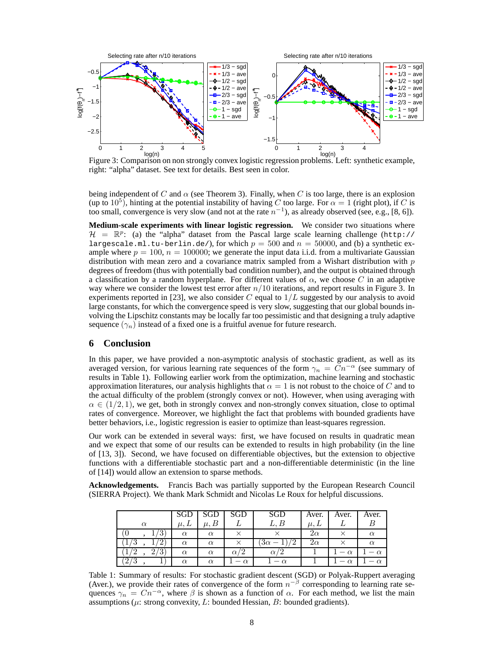

Figure 3: Comparison on non strongly convex logistic regression problems. Left: synthetic example, right: "alpha" dataset. See text for details. Best seen in color.

being independent of C and  $\alpha$  (see Theorem 3). Finally, when C is too large, there is an explosion (up to 10<sup>5</sup>), hinting at the potential instability of having C too large. For  $\alpha = 1$  (right plot), if C is too small, convergence is very slow (and not at the rate  $n^{-1}$ ), as already observed (see, e.g., [8, 6]).

**Medium-scale experiments with linear logistic regression.** We consider two situations where  $\mathcal{H} = \mathbb{R}^p$ : (a) the "alpha" dataset from the Pascal large scale learning challenge (http:// largescale.ml.tu-berlin.de/), for which  $p = 500$  and  $n = 50000$ , and (b) a synthetic example where  $p = 100$ ,  $n = 100000$ ; we generate the input data i.i.d. from a multivariate Gaussian distribution with mean zero and a covariance matrix sampled from a Wishart distribution with  $p$ degrees of freedom (thus with potentially bad condition number), and the output is obtained through a classification by a random hyperplane. For different values of  $\alpha$ , we choose C in an adaptive way where we consider the lowest test error after  $n/10$  iterations, and report results in Figure 3. In experiments reported in [23], we also consider C equal to  $1/L$  suggested by our analysis to avoid large constants, for which the convergence speed is very slow, suggesting that our global bounds involving the Lipschitz constants may be locally far too pessimistic and that designing a truly adaptive sequence  $(\gamma_n)$  instead of a fixed one is a fruitful avenue for future research.

# **6 Conclusion**

In this paper, we have provided a non-asymptotic analysis of stochastic gradient, as well as its averaged version, for various learning rate sequences of the form  $\gamma_n = Cn^{-\alpha}$  (see summary of results in Table 1). Following earlier work from the optimization, machine learning and stochastic approximation literatures, our analysis highlights that  $\alpha = 1$  is not robust to the choice of C and to the actual difficulty of the problem (strongly convex or not). However, when using averaging with  $\alpha \in (1/2, 1)$ , we get, both in strongly convex and non-strongly convex situation, close to optimal rates of convergence. Moreover, we highlight the fact that problems with bounded gradients have better behaviors, i.e., logistic regression is easier to optimize than least-squares regression.

Our work can be extended in several ways: first, we have focused on results in quadratic mean and we expect that some of our results can be extended to results in high probability (in the line of [13, 3]). Second, we have focused on differentiable objectives, but the extension to objective functions with a differentiable stochastic part and a non-differentiable deterministic (in the line of [14]) would allow an extension to sparse methods.

**Acknowledgements.** Francis Bach was partially supported by the European Research Council (SIERRA Project). We thank Mark Schmidt and Nicolas Le Roux for helpful discussions.

|          | <b>SGD</b>  |          | SGD      | SGD      | Aver.      | Aver.    | Aver. |
|----------|-------------|----------|----------|----------|------------|----------|-------|
| $\alpha$ | $\mu$ , $L$ |          |          | L, B     | $\mu, \mu$ |          |       |
| J.       | $\alpha$    | $\alpha$ |          |          | $2\alpha$  |          |       |
|          | $\alpha$    | $\alpha$ |          | əα       | $2\alpha$  |          |       |
|          | $\alpha$    | $\alpha$ |          |          |            | $\alpha$ |       |
|          | $\alpha$    | $\alpha$ | $\alpha$ | $\alpha$ |            |          |       |

Table 1: Summary of results: For stochastic gradient descent (SGD) or Polyak-Ruppert averaging (Aver.), we provide their rates of convergence of the form  $n^{-\beta}$  corresponding to learning rate sequences  $\gamma_n = Cn^{-\alpha}$ , where  $\beta$  is shown as a function of  $\alpha$ . For each method, we list the main assumptions ( $\mu$ : strong convexity,  $L$ : bounded Hessian,  $B$ : bounded gradients).